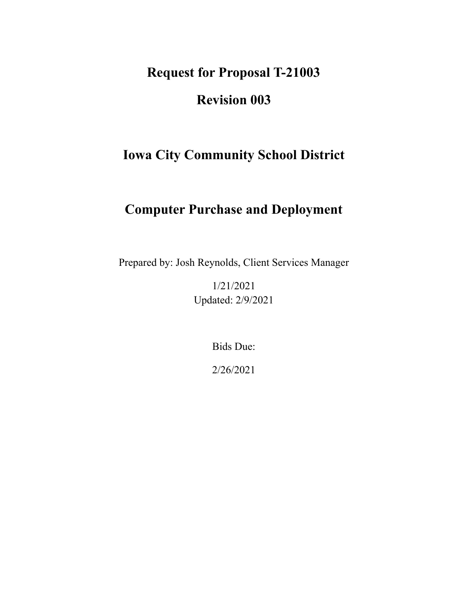**Request for Proposal T-21003**

# **Revision 003**

# **Iowa City Community School District**

# **Computer Purchase and Deployment**

Prepared by: Josh Reynolds, Client Services Manager

1/21/2021 Updated: 2/9/2021

Bids Due:

2/26/2021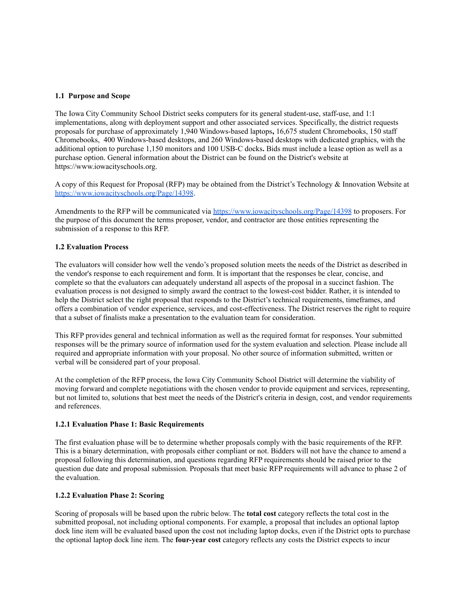## **1.1 Purpose and Scope**

 The Iowa City Community School District seeks computers for its general student-use, staff-use, and 1:1 implementations, along with deployment support and other associated services. Specifically, the district requests proposals for purchase of approximately 1,940 Windows-based laptops**,** 16,675 student Chromebooks, 150 staff Chromebooks, 400 Windows-based desktops, and 260 Windows-based desktops with dedicated graphics, with the additional option to purchase 1,150 monitors and 100 USB-C docks**.** Bids must include a lease option as well as a purchase option. General information about the District can be found on the District's website at <https://www.iowacityschools.org>.

 A copy of this Request for Proposal (RFP) may be obtained from the District's Technology & Innovation Website at <https://www.iowacityschools.org/Page/14398>.

Amendments to the RFP will be communicated via <https://www.iowacityschools.org/Page/14398> to proposers. For the purpose of this document the terms proposer, vendor, and contractor are those entities representing the submission of a response to this RFP.

## **1.2 Evaluation Process**

 The evaluators will consider how well the vendo's proposed solution meets the needs of the District as described in the vendor's response to each requirement and form. It is important that the responses be clear, concise, and complete so that the evaluators can adequately understand all aspects of the proposal in a succinct fashion. The evaluation process is not designed to simply award the contract to the lowest-cost bidder. Rather, it is intended to help the District select the right proposal that responds to the District's technical requirements, timeframes, and offers a combination of vendor experience, services, and cost-effectiveness. The District reserves the right to require that a subset of finalists make a presentation to the evaluation team for consideration.

 This RFP provides general and technical information as well as the required format for responses. Your submitted responses will be the primary source of information used for the system evaluation and selection. Please include all required and appropriate information with your proposal. No other source of information submitted, written or verbal will be considered part of your proposal.

 At the completion of the RFP process, the Iowa City Community School District will determine the viability of moving forward and complete negotiations with the chosen vendor to provide equipment and services, representing, but not limited to, solutions that best meet the needs of the District's criteria in design, cost, and vendor requirements and references.

#### **1.2.1 Evaluation Phase 1: Basic Requirements**

 The first evaluation phase will be to determine whether proposals comply with the basic requirements of the RFP. This is a binary determination, with proposals either compliant or not. Bidders will not have the chance to amend a proposal following this determination, and questions regarding RFP requirements should be raised prior to the question due date and proposal submission. Proposals that meet basic RFP requirements will advance to phase 2 of the evaluation.

#### **1.2.2 Evaluation Phase 2: Scoring**

 Scoring of proposals will be based upon the rubric below. The **total cost** category reflects the total cost in the submitted proposal, not including optional components. For example, a proposal that includes an optional laptop dock line item will be evaluated based upon the cost not including laptop docks, even if the District opts to purchase the optional laptop dock line item. The **four-year cost** category reflects any costs the District expects to incur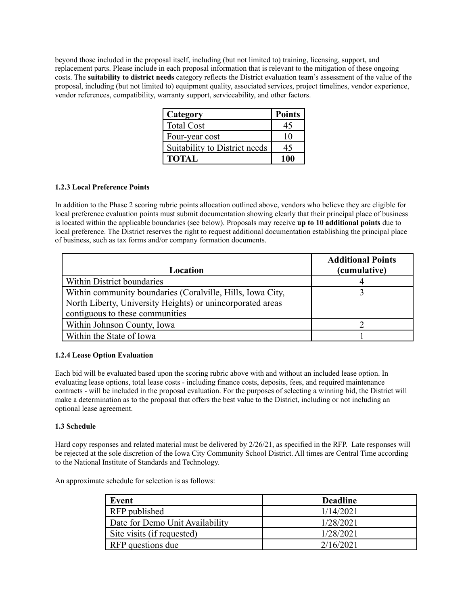beyond those included in the proposal itself, including (but not limited to) training, licensing, support, and replacement parts. Please include in each proposal information that is relevant to the mitigation of these ongoing  costs. The **suitability to district needs** category reflects the District evaluation team's assessment of the value of the proposal, including (but not limited to) equipment quality, associated services, project timelines, vendor experience, vendor references, compatibility, warranty support, serviceability, and other factors.

| Category                      | <b>Points</b> |
|-------------------------------|---------------|
| <b>Total Cost</b>             |               |
| Four-year cost                | 10            |
| Suitability to District needs | 45            |
| <b>TOTAL</b>                  | 100           |

# **1.2.3 Local Preference Points**

 In addition to the Phase 2 scoring rubric points allocation outlined above, vendors who believe they are eligible for local preference evaluation points must submit documentation showing clearly that their principal place of business is located within the applicable boundaries (see below). Proposals may receive **up to 10 additional points** due to local preference. The District reserves the right to request additional documentation establishing the principal place of business, such as tax forms and/or company formation documents.

| Location                                                   | <b>Additional Points</b><br>(cumulative) |
|------------------------------------------------------------|------------------------------------------|
| Within District boundaries                                 |                                          |
| Within community boundaries (Coralville, Hills, Iowa City, |                                          |
| North Liberty, University Heights) or unincorporated areas |                                          |
| contiguous to these communities                            |                                          |
| Within Johnson County, Iowa                                |                                          |
| Within the State of Iowa                                   |                                          |

# **1.2.4 Lease Option Evaluation**

 Each bid will be evaluated based upon the scoring rubric above with and without an included lease option. In evaluating lease options, total lease costs - including finance costs, deposits, fees, and required maintenance contracts - will be included in the proposal evaluation. For the purposes of selecting a winning bid, the District will make a determination as to the proposal that offers the best value to the District, including or not including an optional lease agreement.

# **1.3 Schedule**

 Hard copy responses and related material must be delivered by 2/26/21, as specified in the RFP. Late responses will be rejected at the sole discretion of the Iowa City Community School District. All times are Central Time according to the National Institute of Standards and Technology.

An approximate schedule for selection is as follows:

| Event                           | <b>Deadline</b> |
|---------------------------------|-----------------|
| RFP published                   | 1/14/2021       |
| Date for Demo Unit Availability | 1/28/2021       |
| Site visits (if requested)      | 1/28/2021       |
| RFP questions due               | 2/16/2021       |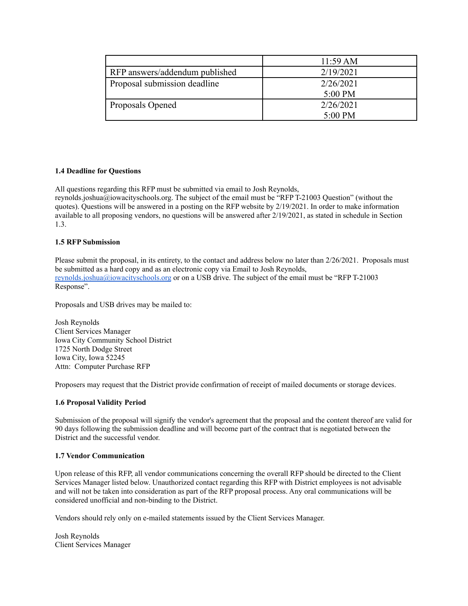|                                | $11:59 \text{ AM}$ |
|--------------------------------|--------------------|
| RFP answers/addendum published | 2/19/2021          |
| Proposal submission deadline   | 2/26/2021          |
|                                | 5:00 PM            |
| Proposals Opened               | 2/26/2021          |
|                                | 5:00 PM            |

# **1.4 Deadline for Questions**

All questions regarding this RFP must be submitted via email to Josh Reynolds,

 [reynolds.joshua@iowacityschools.org](mailto:reynolds.joshua@iowacityschools.org). The subject of the email must be "RFP T-21003 Question" (without the quotes). Questions will be answered in a posting on the RFP website by 2/19/2021. In order to make information available to all proposing vendors, no questions will be answered after 2/19/2021, as stated in schedule in Section 1.3.

## **1.5 RFP Submission**

Please submit the proposal, in its entirety, to the contact and address below no later than  $2/26/2021$ . Proposals must be submitted as a hard copy and as an electronic copy via Email to Josh Reynolds, [reynolds.joshua@iowacityschools.org](mailto:reynolds.joshua@iowacityschools.org) or on a USB drive. The subject of the email must be "RFP T-21003 Response".

Proposals and USB drives may be mailed to:

 Client Services Manager Iowa City Community School District 1725 North Dodge Street Iowa City, Iowa 52245 Attn: Computer Purchase RFP Josh Reynolds

Proposers may request that the District provide confirmation of receipt of mailed documents or storage devices.

# **1.6 Proposal Validity Period**

 Submission of the proposal will signify the vendor's agreement that the proposal and the content thereof are valid for 90 days following the submission deadline and will become part of the contract that is negotiated between the District and the successful vendor.

#### **1.7 Vendor Communication**

 Upon release of this RFP, all vendor communications concerning the overall RFP should be directed to the Client Services Manager listed below. Unauthorized contact regarding this RFP with District employees is not advisable and will not be taken into consideration as part of the RFP proposal process. Any oral communications will be considered unofficial and non-binding to the District.

Vendors should rely only on e-mailed statements issued by the Client Services Manager.

 Client Services ManagerJosh Reynolds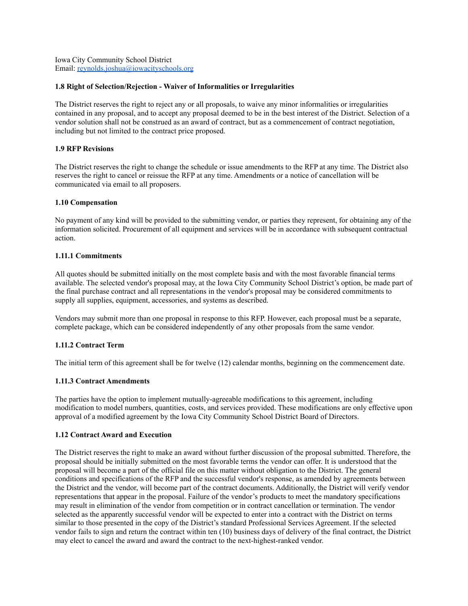Iowa City Community School District Email: [reynolds.joshua@iowacityschools.org](mailto:reynolds.joshua@iowacityschools.org)

## **1.8 Right of Selection/Rejection - Waiver of Informalities or Irregularities**

 The District reserves the right to reject any or all proposals, to waive any minor informalities or irregularities contained in any proposal, and to accept any proposal deemed to be in the best interest of the District. Selection of a vendor solution shall not be construed as an award of contract, but as a commencement of contract negotiation, including but not limited to the contract price proposed.

# **1.9 RFP Revisions**

 The District reserves the right to change the schedule or issue amendments to the RFP at any time. The District also reserves the right to cancel or reissue the RFP at any time. Amendments or a notice of cancellation will be communicated via email to all proposers.

## **1.10 Compensation**

 No payment of any kind will be provided to the submitting vendor, or parties they represent, for obtaining any of the information solicited. Procurement of all equipment and services will be in accordance with subsequent contractual action.

# **1.11.1 Commitments**

 All quotes should be submitted initially on the most complete basis and with the most favorable financial terms available. The selected vendor's proposal may, at the Iowa City Community School District's option, be made part of the final purchase contract and all representations in the vendor's proposal may be considered commitments to supply all supplies, equipment, accessories, and systems as described.

 Vendors may submit more than one proposal in response to this RFP. However, each proposal must be a separate, complete package, which can be considered independently of any other proposals from the same vendor.

# **1.11.2 Contract Term**

The initial term of this agreement shall be for twelve (12) calendar months, beginning on the commencement date.

# **1.11.3 Contract Amendments**

 The parties have the option to implement mutually-agreeable modifications to this agreement, including modification to model numbers, quantities, costs, and services provided. These modifications are only effective upon approval of a modified agreement by the Iowa City Community School District Board of Directors.

#### **1.12 Contract Award and Execution**

 The District reserves the right to make an award without further discussion of the proposal submitted. Therefore, the proposal should be initially submitted on the most favorable terms the vendor can offer. It is understood that the conditions and specifications of the RFP and the successful vendor's response, as amended by agreements between the District and the vendor, will become part of the contract documents. Additionally, the District will verify vendor representations that appear in the proposal. Failure of the vendor's products to meet the mandatory specifications may result in elimination of the vendor from competition or in contract cancellation or termination. The vendor selected as the apparently successful vendor will be expected to enter into a contract with the District on terms similar to those presented in the copy of the District's standard Professional Services Agreement. If the selected vendor fails to sign and return the contract within ten (10) business days of delivery of the final contract, the District may elect to cancel the award and award the contract to the next-highest-ranked vendor.proposal will become a part of the official file on this matter without obligation to the District. The general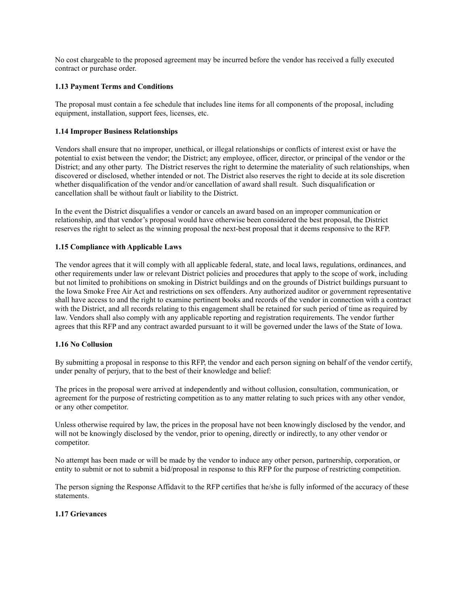No cost chargeable to the proposed agreement may be incurred before the vendor has received a fully executed contract or purchase order.

# **1.13 Payment Terms and Conditions**

 The proposal must contain a fee schedule that includes line items for all components of the proposal, including equipment, installation, support fees, licenses, etc.

#### **1.14 Improper Business Relationships**

 Vendors shall ensure that no improper, unethical, or illegal relationships or conflicts of interest exist or have the potential to exist between the vendor; the District; any employee, officer, director, or principal of the vendor or the District; and any other party. The District reserves the right to determine the materiality of such relationships, when discovered or disclosed, whether intended or not. The District also reserves the right to decide at its sole discretion whether disqualification of the vendor and/or cancellation of award shall result. Such disqualification or cancellation shall be without fault or liability to the District.

 In the event the District disqualifies a vendor or cancels an award based on an improper communication or relationship, and that vendor's proposal would have otherwise been considered the best proposal, the District reserves the right to select as the winning proposal the next-best proposal that it deems responsive to the RFP.

## **1.15 Compliance with Applicable Laws**

 The vendor agrees that it will comply with all applicable federal, state, and local laws, regulations, ordinances, and other requirements under law or relevant District policies and procedures that apply to the scope of work, including but not limited to prohibitions on smoking in District buildings and on the grounds of District buildings pursuant to the Iowa Smoke Free Air Act and restrictions on sex offenders. Any authorized auditor or government representative shall have access to and the right to examine pertinent books and records of the vendor in connection with a contract with the District, and all records relating to this engagement shall be retained for such period of time as required by law. Vendors shall also comply with any applicable reporting and registration requirements. The vendor further agrees that this RFP and any contract awarded pursuant to it will be governed under the laws of the State of Iowa.

#### **1.16 No Collusion**

 By submitting a proposal in response to this RFP, the vendor and each person signing on behalf of the vendor certify, under penalty of perjury, that to the best of their knowledge and belief:

 The prices in the proposal were arrived at independently and without collusion, consultation, communication, or agreement for the purpose of restricting competition as to any matter relating to such prices with any other vendor, or any other competitor.

 Unless otherwise required by law, the prices in the proposal have not been knowingly disclosed by the vendor, and will not be knowingly disclosed by the vendor, prior to opening, directly or indirectly, to any other vendor or competitor.

 No attempt has been made or will be made by the vendor to induce any other person, partnership, corporation, or entity to submit or not to submit a bid/proposal in response to this RFP for the purpose of restricting competition.

 The person signing the Response Affidavit to the RFP certifies that he/she is fully informed of the accuracy of these statements.

## **1.17 Grievances**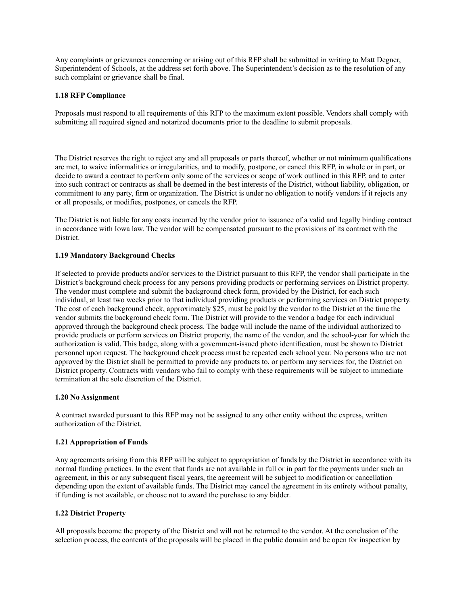Any complaints or grievances concerning or arising out of this RFP shall be submitted in writing to Matt Degner, Superintendent of Schools, at the address set forth above. The Superintendent's decision as to the resolution of any such complaint or grievance shall be final.

#### **1.18 RFP Compliance**

 Proposals must respond to all requirements of this RFP to the maximum extent possible. Vendors shall comply with submitting all required signed and notarized documents prior to the deadline to submit proposals.

 The District reserves the right to reject any and all proposals or parts thereof, whether or not minimum qualifications are met, to waive informalities or irregularities, and to modify, postpone, or cancel this RFP, in whole or in part, or decide to award a contract to perform only some of the services or scope of work outlined in this RFP, and to enter into such contract or contracts as shall be deemed in the best interests of the District, without liability, obligation, or commitment to any party, firm or organization. The District is under no obligation to notify vendors if it rejects any or all proposals, or modifies, postpones, or cancels the RFP.

 The District is not liable for any costs incurred by the vendor prior to issuance of a valid and legally binding contract in accordance with Iowa law. The vendor will be compensated pursuant to the provisions of its contract with the District.

## **1.19 Mandatory Background Checks**

 If selected to provide products and/or services to the District pursuant to this RFP, the vendor shall participate in the District's background check process for any persons providing products or performing services on District property. The vendor must complete and submit the background check form, provided by the District, for each such individual, at least two weeks prior to that individual providing products or performing services on District property. The cost of each background check, approximately \$25, must be paid by the vendor to the District at the time the vendor submits the background check form. The District will provide to the vendor a badge for each individual approved through the background check process. The badge will include the name of the individual authorized to provide products or perform services on District property, the name of the vendor, and the school-year for which the authorization is valid. This badge, along with a government-issued photo identification, must be shown to District personnel upon request. The background check process must be repeated each school year. No persons who are not approved by the District shall be permitted to provide any products to, or perform any services for, the District on District property. Contracts with vendors who fail to comply with these requirements will be subject to immediate termination at the sole discretion of the District.

#### **1.20 No Assignment**

 A contract awarded pursuant to this RFP may not be assigned to any other entity without the express, written authorization of the District.

# **1.21 Appropriation of Funds**

 Any agreements arising from this RFP will be subject to appropriation of funds by the District in accordance with its normal funding practices. In the event that funds are not available in full or in part for the payments under such an agreement, in this or any subsequent fiscal years, the agreement will be subject to modification or cancellation depending upon the extent of available funds. The District may cancel the agreement in its entirety without penalty, if funding is not available, or choose not to award the purchase to any bidder.

# **1.22 District Property**

 All proposals become the property of the District and will not be returned to the vendor. At the conclusion of the selection process, the contents of the proposals will be placed in the public domain and be open for inspection by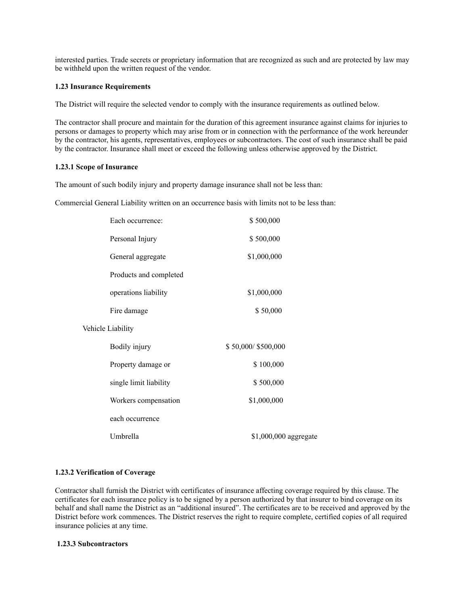interested parties. Trade secrets or proprietary information that are recognized as such and are protected by law may be withheld upon the written request of the vendor.

## **1.23 Insurance Requirements**

The District will require the selected vendor to comply with the insurance requirements as outlined below.

 The contractor shall procure and maintain for the duration of this agreement insurance against claims for injuries to persons or damages to property which may arise from or in connection with the performance of the work hereunder by the contractor, his agents, representatives, employees or subcontractors. The cost of such insurance shall be paid by the contractor. Insurance shall meet or exceed the following unless otherwise approved by the District.

#### **1.23.1 Scope of Insurance**

The amount of such bodily injury and property damage insurance shall not be less than:

Commercial General Liability written on an occurrence basis with limits not to be less than:

| Each occurrence:       | \$500,000             |
|------------------------|-----------------------|
| Personal Injury        | \$500,000             |
| General aggregate      | \$1,000,000           |
| Products and completed |                       |
| operations liability   | \$1,000,000           |
| Fire damage            | \$50,000              |
| Vehicle Liability      |                       |
| Bodily injury          | \$50,000/\$500,000    |
| Property damage or     | \$100,000             |
| single limit liability | \$500,000             |
| Workers compensation   | \$1,000,000           |
| each occurrence        |                       |
| Umbrella               | \$1,000,000 aggregate |

# **1.23.2 Verification of Coverage**

 Contractor shall furnish the District with certificates of insurance affecting coverage required by this clause. The certificates for each insurance policy is to be signed by a person authorized by that insurer to bind coverage on its behalf and shall name the District as an "additional insured". The certificates are to be received and approved by the District before work commences. The District reserves the right to require complete, certified copies of all required insurance policies at any time.

#### **1.23.3 Subcontractors**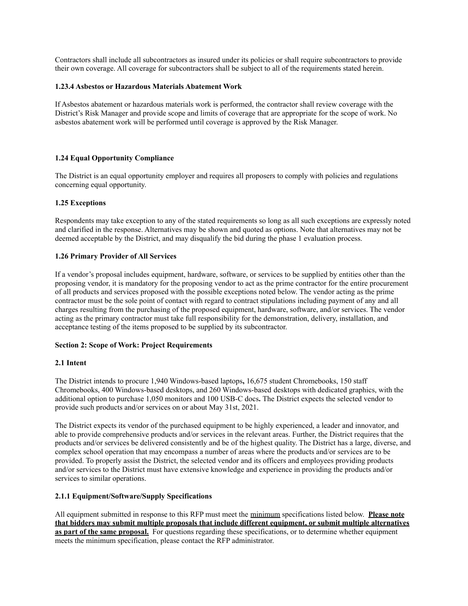Contractors shall include all subcontractors as insured under its policies or shall require subcontractors to provide their own coverage. All coverage for subcontractors shall be subject to all of the requirements stated herein.

# **1.23.4 Asbestos or Hazardous Materials Abatement Work**

 If Asbestos abatement or hazardous materials work is performed, the contractor shall review coverage with the District's Risk Manager and provide scope and limits of coverage that are appropriate for the scope of work. No asbestos abatement work will be performed until coverage is approved by the Risk Manager.

# **1.24 Equal Opportunity Compliance**

 The District is an equal opportunity employer and requires all proposers to comply with policies and regulations concerning equal opportunity.

# **1.25 Exceptions**

 Respondents may take exception to any of the stated requirements so long as all such exceptions are expressly noted and clarified in the response. Alternatives may be shown and quoted as options. Note that alternatives may not be deemed acceptable by the District, and may disqualify the bid during the phase 1 evaluation process.

# **1.26 Primary Provider of All Services**

 If a vendor's proposal includes equipment, hardware, software, or services to be supplied by entities other than the proposing vendor, it is mandatory for the proposing vendor to act as the prime contractor for the entire procurement of all products and services proposed with the possible exceptions noted below. The vendor acting as the prime contractor must be the sole point of contact with regard to contract stipulations including payment of any and all charges resulting from the purchasing of the proposed equipment, hardware, software, and/or services. The vendor acting as the primary contractor must take full responsibility for the demonstration, delivery, installation, and acceptance testing of the items proposed to be supplied by its subcontractor.

# **Section 2: Scope of Work: Project Requirements**

# **2.1 Intent**

 The District intends to procure 1,940 Windows-based laptops**,** 16,675 student Chromebooks, 150 staff Chromebooks, 400 Windows-based desktops, and 260 Windows-based desktops with dedicated graphics, with the additional option to purchase 1,050 monitors and 100 USB-C docs**.** The District expects the selected vendor to provide such products and/or services on or about May 31st, 2021.

 The District expects its vendor of the purchased equipment to be highly experienced, a leader and innovator, and able to provide comprehensive products and/or services in the relevant areas. Further, the District requires that the products and/or services be delivered consistently and be of the highest quality. The District has a large, diverse, and complex school operation that may encompass a number of areas where the products and/or services are to be provided. To properly assist the District, the selected vendor and its officers and employees providing products and/or services to the District must have extensive knowledge and experience in providing the products and/or services to similar operations.

# **2.1.1 Equipment/Software/Supply Specifications**

 All equipment submitted in response to this RFP must meet the minimum specifications listed below. **Please note that bidders may submit multiple proposals that include different equipment, or submit multiple alternatives as part of the same proposal.** For questions regarding these specifications, or to determine whether equipment meets the minimum specification, please contact the RFP administrator.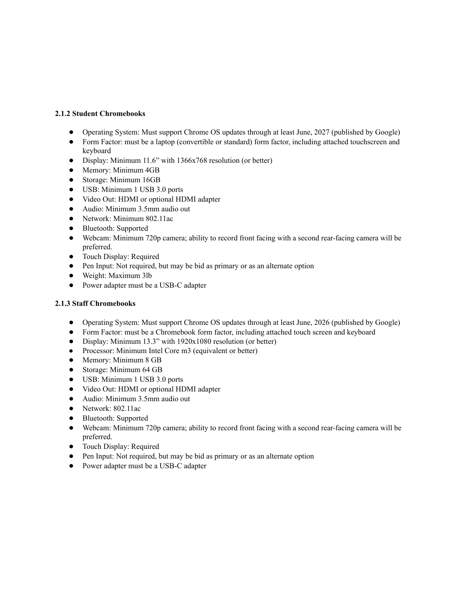# **2.1.2 Student Chromebooks**

- Operating System: Must support Chrome OS updates through at least June, 2027 (published by Google)
- ● Form Factor: must be a laptop (convertible or standard) form factor, including attached touchscreen and keyboard
- Display: Minimum 11.6" with 1366x768 resolution (or better)
- Memory: Minimum 4GB
- Storage: Minimum 16GB
- USB: Minimum 1 USB 3.0 ports
- Video Out: HDMI or optional HDMI adapter
- Audio: Minimum 3.5mm audio out
- Network: Minimum 802.11ac
- Bluetooth: Supported
- ● Webcam: Minimum 720p camera; ability to record front facing with a second rear-facing camera will be preferred.
- Touch Display: Required
- Pen Input: Not required, but may be bid as primary or as an alternate option
- Weight: Maximum 3lb
- Power adapter must be a USB-C adapter

# **2.1.3 Staff Chromebooks**

- Operating System: Must support Chrome OS updates through at least June, 2026 (published by Google)
- Form Factor: must be a Chromebook form factor, including attached touch screen and keyboard
- Display: Minimum 13.3" with 1920x1080 resolution (or better)
- Processor: Minimum Intel Core m3 (equivalent or better)
- Memory: Minimum 8 GB
- Storage: Minimum 64 GB
- USB: Minimum 1 USB 3.0 ports
- Video Out: HDMI or optional HDMI adapter
- Audio: Minimum 3.5mm audio out
- Network: 802.11ac
- Bluetooth: Supported
- ● Webcam: Minimum 720p camera; ability to record front facing with a second rear-facing camera will be preferred.
- Touch Display: Required
- Pen Input: Not required, but may be bid as primary or as an alternate option
- Power adapter must be a USB-C adapter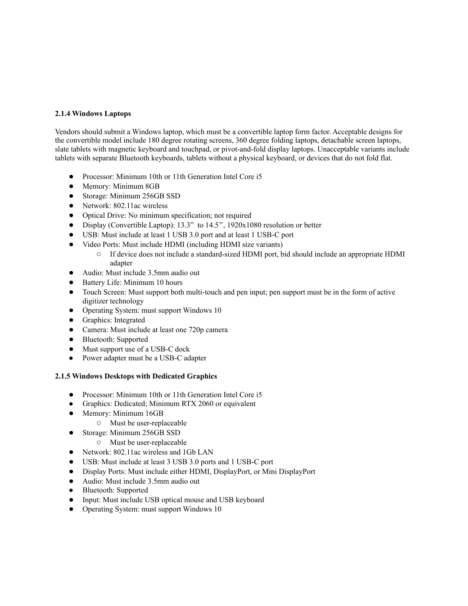# **2.1.4 Windows Laptops**

 Vendors should submit a Windows laptop, which must be a convertible laptop form factor. Acceptable designs for the convertible model include 180 degree rotating screens, 360 degree folding laptops, detachable screen laptops, slate tablets with magnetic keyboard and touchpad, or pivot-and-fold display laptops. Unacceptable variants include tablets with separate Bluetooth keyboards, tablets without a physical keyboard, or devices that do not fold flat.

- Processor: Minimum 10th or 11th Generation Intel Core i5
- Memory: Minimum 8GB
- Storage: Minimum 256GB SSD
- Network: 802.11ac wireless
- Optical Drive: No minimum specification; not required
- Display (Convertible Laptop): 13.3" to 14.5'', 1920x1080 resolution or better
- USB: Must include at least 1 USB 3.0 port and at least 1 USB-C port
- ● Video Ports: Must include HDMI (including HDMI size variants)
	- ○ If device does not include a standard-sized HDMI port, bid should include an appropriate HDMI adapter
- Audio: Must include 3.5mm audio out
- Battery Life: Minimum 10 hours
- ● Touch Screen: Must support both multi-touch and pen input; pen support must be in the form of active digitizer technology
- Operating System: must support Windows 10
- Graphics: Integrated
- Camera: Must include at least one 720p camera
- Bluetooth: Supported
- Must support use of a USB-C dock
- Power adapter must be a USB-C adapter

# **2.1.5 Windows Desktops with Dedicated Graphics**

- Processor: Minimum 10th or 11th Generation Intel Core i5
- Graphics: Dedicated; Minimum RTX 2060 or equivalent
- ● Memory: Minimum 16GB
	- Must be user-replaceable
- ● Storage: Minimum 256GB SSD
	- Must be user-replaceable
- Network: 802.11ac wireless and 1Gb LAN
- USB: Must include at least 3 USB 3.0 ports and 1 USB-C port
- Display Ports: Must include either HDMI, DisplayPort, or Mini DisplayPort
- Audio: Must include 3.5mm audio out
- Bluetooth: Supported
- Input: Must include USB optical mouse and USB keyboard
- Operating System: must support Windows 10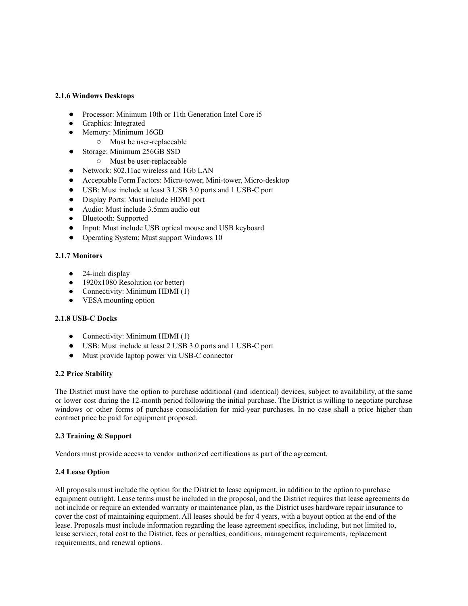### **2.1.6 Windows Desktops**

- Processor: Minimum 10th or 11th Generation Intel Core i5
- Graphics: Integrated
- Memory: Minimum 16GB
	- Must be user-replaceable
- ● Storage: Minimum 256GB SSD
	- Must be user-replaceable
- Network: 802.11ac wireless and 1Gb LAN
- Acceptable Form Factors: Micro-tower, Mini-tower, Micro-desktop
- USB: Must include at least 3 USB 3.0 ports and 1 USB-C port
- Display Ports: Must include HDMI port
- Audio: Must include 3.5mm audio out
- Bluetooth: Supported
- Input: Must include USB optical mouse and USB keyboard
- Operating System: Must support Windows 10

# **2.1.7 Monitors**

- $\bullet$  24-inch display
- 1920x1080 Resolution (or better)
- Connectivity: Minimum HDMI (1)
- VESA mounting option

# **2.1.8 USB-C Docks**

- Connectivity: Minimum HDMI (1)
- USB: Must include at least 2 USB 3.0 ports and 1 USB-C port
- Must provide laptop power via USB-C connector

# **2.2 Price Stability**

 contract price be paid for equipment proposed. The District must have the option to purchase additional (and identical) devices, subject to availability, at the same or lower cost during the 12-month period following the initial purchase. The District is willing to negotiate purchase windows or other forms of purchase consolidation for mid-year purchases. In no case shall a price higher than

# **2.3 Training & Support**

Vendors must provide access to vendor authorized certifications as part of the agreement.

# **2.4 Lease Option**

 All proposals must include the option for the District to lease equipment, in addition to the option to purchase equipment outright. Lease terms must be included in the proposal, and the District requires that lease agreements do not include or require an extended warranty or maintenance plan, as the District uses hardware repair insurance to cover the cost of maintaining equipment. All leases should be for 4 years, with a buyout option at the end of the lease. Proposals must include information regarding the lease agreement specifics, including, but not limited to, lease servicer, total cost to the District, fees or penalties, conditions, management requirements, replacement requirements, and renewal options.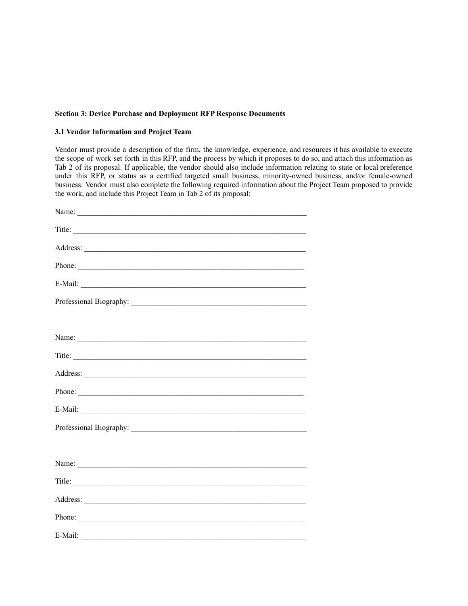## **Section 3: Device Purchase and Deployment RFP Response Documents**

#### **3.1 Vendor Information and Project Team**

 the work, and include this Project Team in Tab 2 of its proposal: Vendor must provide a description of the firm, the knowledge, experience, and resources it has available to execute the scope of work set forth in this RFP, and the process by which it proposes to do so, and attach this information as Tab 2 of its proposal. If applicable, the vendor should also include information relating to state or local preference under this RFP, or status as a certified targeted small business, minority-owned business, and/or female-owned business. Vendor must also complete the following required information about the Project Team proposed to provide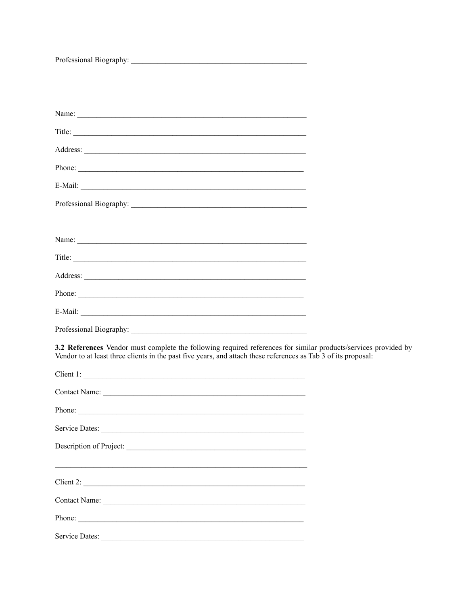| Title:                                                                                                                                                                                                                            |  |
|-----------------------------------------------------------------------------------------------------------------------------------------------------------------------------------------------------------------------------------|--|
|                                                                                                                                                                                                                                   |  |
| Phone:                                                                                                                                                                                                                            |  |
| E-Mail:                                                                                                                                                                                                                           |  |
|                                                                                                                                                                                                                                   |  |
|                                                                                                                                                                                                                                   |  |
|                                                                                                                                                                                                                                   |  |
| Title:                                                                                                                                                                                                                            |  |
|                                                                                                                                                                                                                                   |  |
|                                                                                                                                                                                                                                   |  |
|                                                                                                                                                                                                                                   |  |
|                                                                                                                                                                                                                                   |  |
| 3.2 References Vendor must complete the following required references for similar products/services provided by<br>Vendor to at least three clients in the past five years, and attach these references as Tab 3 of its proposal: |  |
| Client 1:                                                                                                                                                                                                                         |  |
|                                                                                                                                                                                                                                   |  |
|                                                                                                                                                                                                                                   |  |
|                                                                                                                                                                                                                                   |  |
| Description of Project:                                                                                                                                                                                                           |  |
| Client 2:                                                                                                                                                                                                                         |  |
|                                                                                                                                                                                                                                   |  |
|                                                                                                                                                                                                                                   |  |
|                                                                                                                                                                                                                                   |  |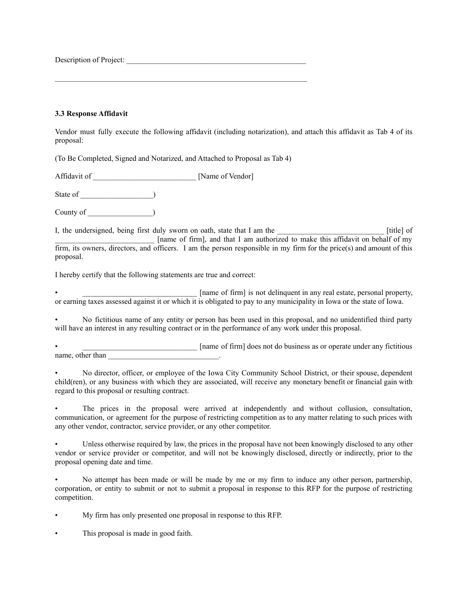Description of Project:

# **3.3 Response Affidavit**

Vendor must fully execute the following affidavit (including notarization), and attach this affidavit as Tab 4 of its proposal:

(To Be Completed, Signed and Notarized, and Attached to Proposal as Tab 4)

Affidavit of **Affidavit** of **Affidavit** of **Name of Vendor** 

State of \_\_\_\_\_\_\_\_\_\_\_\_\_\_\_\_\_\_\_)

County of \_\_\_\_\_\_\_\_\_\_\_\_\_\_\_\_\_)

I, the undersigned, being first duly sworn on oath, state that I am the \_\_\_\_\_\_\_\_\_\_\_\_\_\_\_\_\_\_\_\_\_\_\_\_\_\_\_\_\_\_\_\_\_ [title] of \_\_\_\_\_\_\_\_\_\_\_\_\_\_\_\_\_\_\_\_\_\_\_\_\_\_ [name of firm], and that I am authorized to make this affidavit on behalf of my firm, its owners, directors, and officers. I am the person responsible in my firm for the price(s) and amount of this proposal.

I hereby certify that the following statements are true and correct:

 or earning taxes assessed against it or which it is obligated to pay to any municipality in Iowa or the state of Iowa. Iname of firm] is not delinguent in any real estate, personal property,

 will have an interest in any resulting contract or in the performance of any work under this proposal. • No fictitious name of any entity or person has been used in this proposal, and no unidentified third party

 name, other than \_\_\_\_\_\_\_\_\_\_\_\_\_\_\_\_\_\_\_\_\_\_\_\_\_\_\_\_\_. [name of firm] does not do business as or operate under any fictitious

 regard to this proposal or resulting contract. • No director, officer, or employee of the Iowa City Community School District, or their spouse, dependent child(ren), or any business with which they are associated, will receive any monetary benefit or financial gain with

 any other vendor, contractor, service provider, or any other competitor. The prices in the proposal were arrived at independently and without collusion, consultation, communication, or agreement for the purpose of restricting competition as to any matter relating to such prices with

 proposal opening date and time. Unless otherwise required by law, the prices in the proposal have not been knowingly disclosed to any other vendor or service provider or competitor, and will not be knowingly disclosed, directly or indirectly, prior to the

• No attempt has been made or will be made by me or my firm to induce any other person, partnership, corporation, or entity to submit or not to submit a proposal in response to this RFP for the purpose of restricting competition.

• My firm has only presented one proposal in response to this RFP.

• This proposal is made in good faith.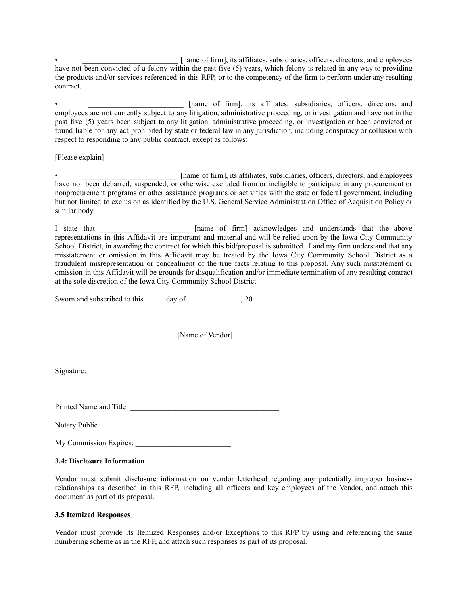[name of firm], its affiliates, subsidiaries, officers, directors, and employees have not been convicted of a felony within the past five (5) years, which felony is related in any way to providing the products and/or services referenced in this RFP, or to the competency of the firm to perform under any resulting contract.

 respect to responding to any public contract, except as follows: • \_\_\_\_\_\_\_\_\_\_\_\_\_\_\_\_\_\_\_\_\_\_\_\_\_ [name of firm], its affiliates, subsidiaries, officers, directors, and employees are not currently subject to any litigation, administrative proceeding, or investigation and have not in the past five (5) years been subject to any litigation, administrative proceeding, or investigation or been convicted or found liable for any act prohibited by state or federal law in any jurisdiction, including conspiracy or collusion with

[Please explain]

 $\quad \quad$  [name of firm], its affiliates, subsidiaries, officers, directors, and employees have not been debarred, suspended, or otherwise excluded from or ineligible to participate in any procurement or nonprocurement programs or other assistance programs or activities with the state or federal government, including but not limited to exclusion as identified by the U.S. General Service Administration Office of Acquisition Policy or similar body.

 at the sole discretion of the Iowa City Community School District. I state that \_\_\_\_\_\_\_\_\_\_\_\_\_\_\_\_\_\_\_\_\_\_\_ [name of firm] acknowledges and understands that the above representations in this Affidavit are important and material and will be relied upon by the Iowa City Community School District, in awarding the contract for which this bid/proposal is submitted. I and my firm understand that any misstatement or omission in this Affidavit may be treated by the Iowa City Community School District as a fraudulent misrepresentation or concealment of the true facts relating to this proposal. Any such misstatement or omission in this Affidavit will be grounds for disqualification and/or immediate termination of any resulting contract

Sworn and subscribed to this day of the same contact  $\alpha$ , 20.

\_\_\_\_\_\_\_\_\_\_\_\_\_\_\_\_\_\_\_\_\_\_\_\_\_\_\_\_\_\_\_\_[Name of Vendor]

Signature: \_\_\_\_\_\_\_\_\_\_\_\_\_\_\_\_\_\_\_\_\_\_\_\_\_\_\_\_\_\_\_\_\_\_\_\_

Printed Name and Title:

Notary Public

My Commission Expires: \_\_\_\_\_\_\_\_\_\_\_\_\_\_\_\_\_\_\_\_\_\_\_\_\_

#### **3.4: Disclosure Information**

 document as part of its proposal. Vendor must submit disclosure information on vendor letterhead regarding any potentially improper business relationships as described in this RFP, including all officers and key employees of the Vendor, and attach this

#### **3.5 Itemized Responses**

 numbering scheme as in the RFP, and attach such responses as part of its proposal.Vendor must provide its Itemized Responses and/or Exceptions to this RFP by using and referencing the same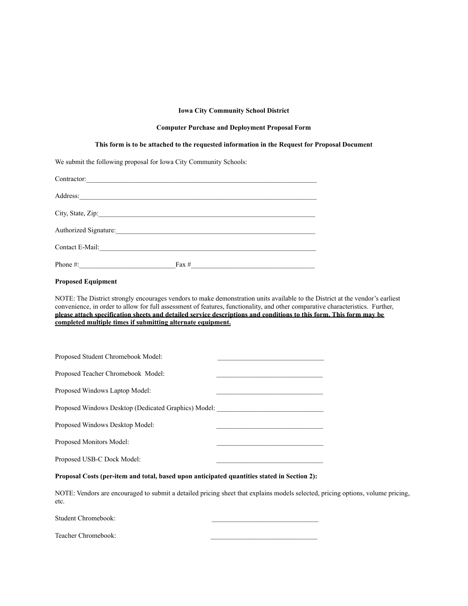#### **Iowa City Community School District**

#### **Computer Purchase and Deployment Proposal Form**

#### **This form is to be attached to the requested information in the Request for Proposal Document**

We submit the following proposal for Iowa City Community Schools:

| Contractor:           |         |
|-----------------------|---------|
|                       |         |
| Address:              |         |
|                       |         |
|                       |         |
| Authorized Signature: |         |
| Contact E-Mail:       |         |
| Phone #:              | Fax $#$ |
|                       |         |

# **Proposed Equipment**

NOTE: The District strongly encourages vendors to make demonstration units available to the District at the vendor's earliest convenience, in order to allow for full assessment of features, functionality, and other comparative characteristics. Further, **please attach specification sheets and detailed service descriptions and conditions to this form. This form may be completed multiple times if submitting alternate equipment.**

| Proposed Student Chromebook Model:                   |  |
|------------------------------------------------------|--|
| Proposed Teacher Chromebook Model:                   |  |
| Proposed Windows Laptop Model:                       |  |
| Proposed Windows Desktop (Dedicated Graphics) Model: |  |
| Proposed Windows Desktop Model:                      |  |
| Proposed Monitors Model:                             |  |
| Proposed USB-C Dock Model:                           |  |

#### **Proposal Costs (per-item and total, based upon anticipated quantities stated in Section 2):**

NOTE: Vendors are encouraged to submit a detailed pricing sheet that explains models selected, pricing options, volume pricing, etc.

Student Chromebook:

Teacher Chromebook: